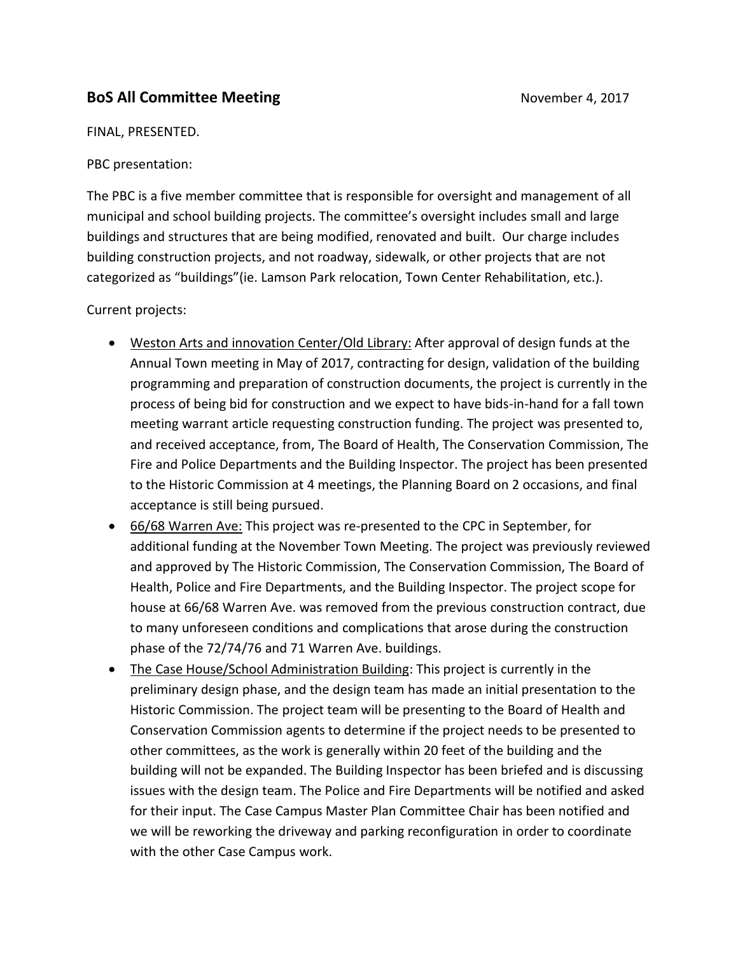## **BoS All Committee Meeting**  November 4, 2017

FINAL, PRESENTED.

PBC presentation:

The PBC is a five member committee that is responsible for oversight and management of all municipal and school building projects. The committee's oversight includes small and large buildings and structures that are being modified, renovated and built. Our charge includes building construction projects, and not roadway, sidewalk, or other projects that are not categorized as "buildings"(ie. Lamson Park relocation, Town Center Rehabilitation, etc.).

Current projects:

- Weston Arts and innovation Center/Old Library: After approval of design funds at the Annual Town meeting in May of 2017, contracting for design, validation of the building programming and preparation of construction documents, the project is currently in the process of being bid for construction and we expect to have bids-in-hand for a fall town meeting warrant article requesting construction funding. The project was presented to, and received acceptance, from, The Board of Health, The Conservation Commission, The Fire and Police Departments and the Building Inspector. The project has been presented to the Historic Commission at 4 meetings, the Planning Board on 2 occasions, and final acceptance is still being pursued.
- 66/68 Warren Ave: This project was re-presented to the CPC in September, for additional funding at the November Town Meeting. The project was previously reviewed and approved by The Historic Commission, The Conservation Commission, The Board of Health, Police and Fire Departments, and the Building Inspector. The project scope for house at 66/68 Warren Ave. was removed from the previous construction contract, due to many unforeseen conditions and complications that arose during the construction phase of the 72/74/76 and 71 Warren Ave. buildings.
- The Case House/School Administration Building: This project is currently in the preliminary design phase, and the design team has made an initial presentation to the Historic Commission. The project team will be presenting to the Board of Health and Conservation Commission agents to determine if the project needs to be presented to other committees, as the work is generally within 20 feet of the building and the building will not be expanded. The Building Inspector has been briefed and is discussing issues with the design team. The Police and Fire Departments will be notified and asked for their input. The Case Campus Master Plan Committee Chair has been notified and we will be reworking the driveway and parking reconfiguration in order to coordinate with the other Case Campus work.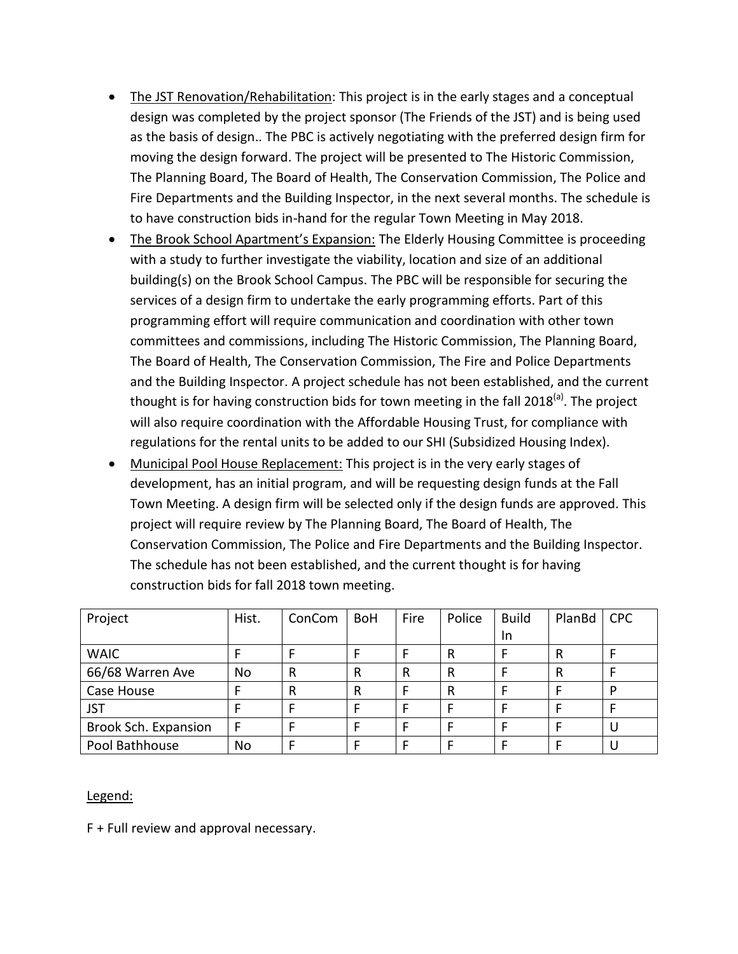- The JST Renovation/Rehabilitation: This project is in the early stages and a conceptual design was completed by the project sponsor (The Friends of the JST) and is being used as the basis of design.. The PBC is actively negotiating with the preferred design firm for moving the design forward. The project will be presented to The Historic Commission, The Planning Board, The Board of Health, The Conservation Commission, The Police and Fire Departments and the Building Inspector, in the next several months. The schedule is to have construction bids in-hand for the regular Town Meeting in May 2018.
- The Brook School Apartment's Expansion: The Elderly Housing Committee is proceeding with a study to further investigate the viability, location and size of an additional building(s) on the Brook School Campus. The PBC will be responsible for securing the services of a design firm to undertake the early programming efforts. Part of this programming effort will require communication and coordination with other town committees and commissions, including The Historic Commission, The Planning Board, The Board of Health, The Conservation Commission, The Fire and Police Departments and the Building Inspector. A project schedule has not been established, and the current thought is for having construction bids for town meeting in the fall 2018<sup>(a)</sup>. The project will also require coordination with the Affordable Housing Trust, for compliance with regulations for the rental units to be added to our SHI (Subsidized Housing Index).
- Municipal Pool House Replacement: This project is in the very early stages of development, has an initial program, and will be requesting design funds at the Fall Town Meeting. A design firm will be selected only if the design funds are approved. This project will require review by The Planning Board, The Board of Health, The Conservation Commission, The Police and Fire Departments and the Building Inspector. The schedule has not been established, and the current thought is for having construction bids for fall 2018 town meeting.

| Project              | Hist. | ConCom | <b>BoH</b> | Fire | Police | <b>Build</b> | PlanBd | <b>CPC</b> |
|----------------------|-------|--------|------------|------|--------|--------------|--------|------------|
|                      |       |        |            |      |        | In.          |        |            |
| <b>WAIC</b>          |       |        |            |      | R      |              | R      |            |
| 66/68 Warren Ave     | No    | R      | R          | R    | R      |              | R      |            |
| Case House           |       | R      | R          |      | R      |              |        | D          |
| <b>JST</b>           |       |        |            |      |        |              |        |            |
| Brook Sch. Expansion | F     |        |            |      |        |              |        |            |
| Pool Bathhouse       | No    |        |            |      |        |              |        |            |

## Legend:

F + Full review and approval necessary.